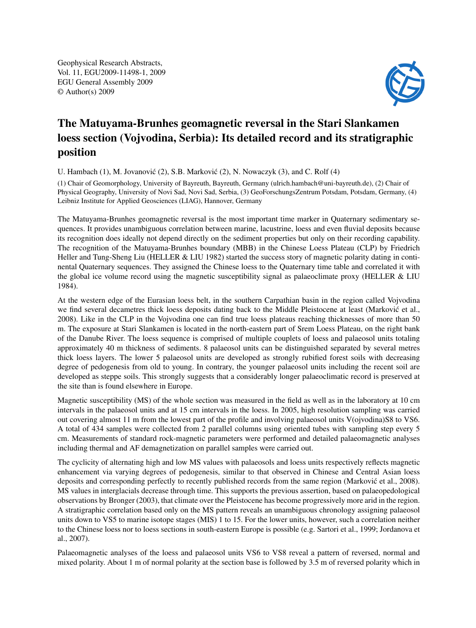Geophysical Research Abstracts, Vol. 11, EGU2009-11498-1, 2009 EGU General Assembly 2009 © Author(s) 2009



## The Matuyama-Brunhes geomagnetic reversal in the Stari Slankamen loess section (Vojvodina, Serbia): Its detailed record and its stratigraphic position

U. Hambach  $(1)$ , M. Jovanović  $(2)$ , S.B. Marković  $(2)$ , N. Nowaczyk  $(3)$ , and C. Rolf  $(4)$ 

(1) Chair of Geomorphology, University of Bayreuth, Bayreuth, Germany (ulrich.hambach@uni-bayreuth.de), (2) Chair of Physical Geography, University of Novi Sad, Novi Sad, Serbia, (3) GeoForschungsZentrum Potsdam, Potsdam, Germany, (4) Leibniz Institute for Applied Geosciences (LIAG), Hannover, Germany

The Matuyama-Brunhes geomagnetic reversal is the most important time marker in Quaternary sedimentary sequences. It provides unambiguous correlation between marine, lacustrine, loess and even fluvial deposits because its recognition does ideally not depend directly on the sediment properties but only on their recording capability. The recognition of the Matuyama-Brunhes boundary (MBB) in the Chinese Loess Plateau (CLP) by Friedrich Heller and Tung-Sheng Liu (HELLER & LIU 1982) started the success story of magnetic polarity dating in continental Quaternary sequences. They assigned the Chinese loess to the Quaternary time table and correlated it with the global ice volume record using the magnetic susceptibility signal as palaeoclimate proxy (HELLER & LIU 1984).

At the western edge of the Eurasian loess belt, in the southern Carpathian basin in the region called Vojvodina we find several decametres thick loess deposits dating back to the Middle Pleistocene at least (Marković et al., 2008). Like in the CLP in the Vojvodina one can find true loess plateaus reaching thicknesses of more than 50 m. The exposure at Stari Slankamen is located in the north-eastern part of Srem Loess Plateau, on the right bank of the Danube River. The loess sequence is comprised of multiple couplets of loess and palaeosol units totaling approximately 40 m thickness of sediments. 8 palaeosol units can be distinguished separated by several metres thick loess layers. The lower 5 palaeosol units are developed as strongly rubified forest soils with decreasing degree of pedogenesis from old to young. In contrary, the younger palaeosol units including the recent soil are developed as steppe soils. This strongly suggests that a considerably longer palaeoclimatic record is preserved at the site than is found elsewhere in Europe.

Magnetic susceptibility (MS) of the whole section was measured in the field as well as in the laboratory at 10 cm intervals in the palaeosol units and at 15 cm intervals in the loess. In 2005, high resolution sampling was carried out covering almost 11 m from the lowest part of the profile and involving palaeosol units V(ojvodina)S8 to VS6. A total of 434 samples were collected from 2 parallel columns using oriented tubes with sampling step every 5 cm. Measurements of standard rock-magnetic parameters were performed and detailed palaeomagnetic analyses including thermal and AF demagnetization on parallel samples were carried out.

The cyclicity of alternating high and low MS values with palaeosols and loess units respectively reflects magnetic enhancement via varying degrees of pedogenesis, similar to that observed in Chinese and Central Asian loess deposits and corresponding perfectly to recently published records from the same region (Marković et al., 2008). MS values in interglacials decrease through time. This supports the previous assertion, based on palaeopedological observations by Bronger (2003), that climate over the Pleistocene has become progressively more arid in the region. A stratigraphic correlation based only on the MS pattern reveals an unambiguous chronology assigning palaeosol units down to VS5 to marine isotope stages (MIS) 1 to 15. For the lower units, however, such a correlation neither to the Chinese loess nor to loess sections in south-eastern Europe is possible (e.g. Sartori et al., 1999; Jordanova et al., 2007).

Palaeomagnetic analyses of the loess and palaeosol units VS6 to VS8 reveal a pattern of reversed, normal and mixed polarity. About 1 m of normal polarity at the section base is followed by 3.5 m of reversed polarity which in